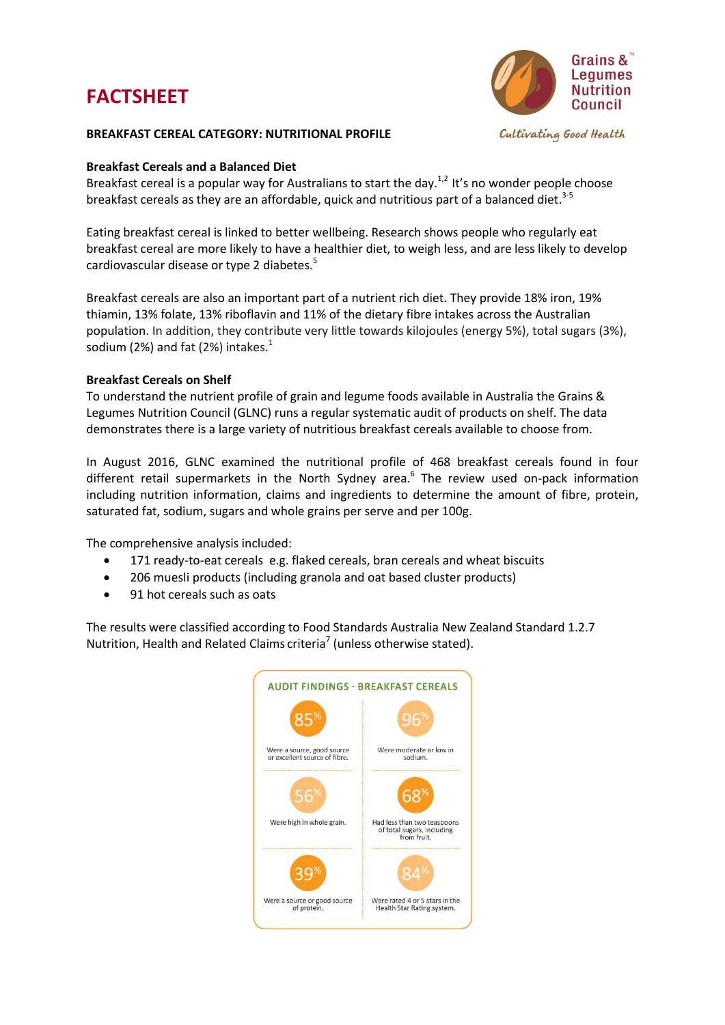# **FACTSHEET**



### **BREAKFAST CEREAL CATEGORY: NUTRITIONAL PROFILE**

# **Breakfast Cereals and a Balanced Diet**

Breakfast cereal is a popular way for Australians to start the day.<sup>1,2</sup> It's no wonder people choose breakfast cereals as they are an affordable, quick and nutritious part of a balanced diet. 3-5

Eating breakfast cereal is linked to better wellbeing. Research shows people who regularly eat breakfast cereal are more likely to have a healthier diet, to weigh less, and are less likely to develop cardiovascular disease or type 2 diabetes.<sup>5</sup>

Breakfast cereals are also an important part of a nutrient rich diet. They provide 18% iron, 19% thiamin, 13% folate, 13% riboflavin and 11% of the dietary fibre intakes across the Australian population. In addition, they contribute very little towards kilojoules (energy 5%), total sugars (3%), sodium (2%) and fat (2%) intakes. $1$ 

# **Breakfast Cereals on Shelf**

To understand the nutrient profile of grain and legume foods available in Australia the Grains & Legumes Nutrition Council (GLNC) runs a regular systematic audit of products on shelf. The data demonstrates there is a large variety of nutritious breakfast cereals available to choose from.

In August 2016, GLNC examined the nutritional profile of 468 breakfast cereals found in four different retail supermarkets in the North Sydney area.<sup>6</sup> The review used on-pack information including nutrition information, claims and ingredients to determine the amount of fibre, protein, saturated fat, sodium, sugars and whole grains per serve and per 100g.

The comprehensive analysis included:

- 171 ready-to-eat cereals e.g. flaked cereals, bran cereals and wheat biscuits
- 206 muesli products (including granola and oat based cluster products)
- 91 hot cereals such as oats

The results were classified according to Food Standards Australia New Zealand Standard 1.2.7 Nutrition, Health and Related Claims criteria<sup>7</sup> (unless otherwise stated).

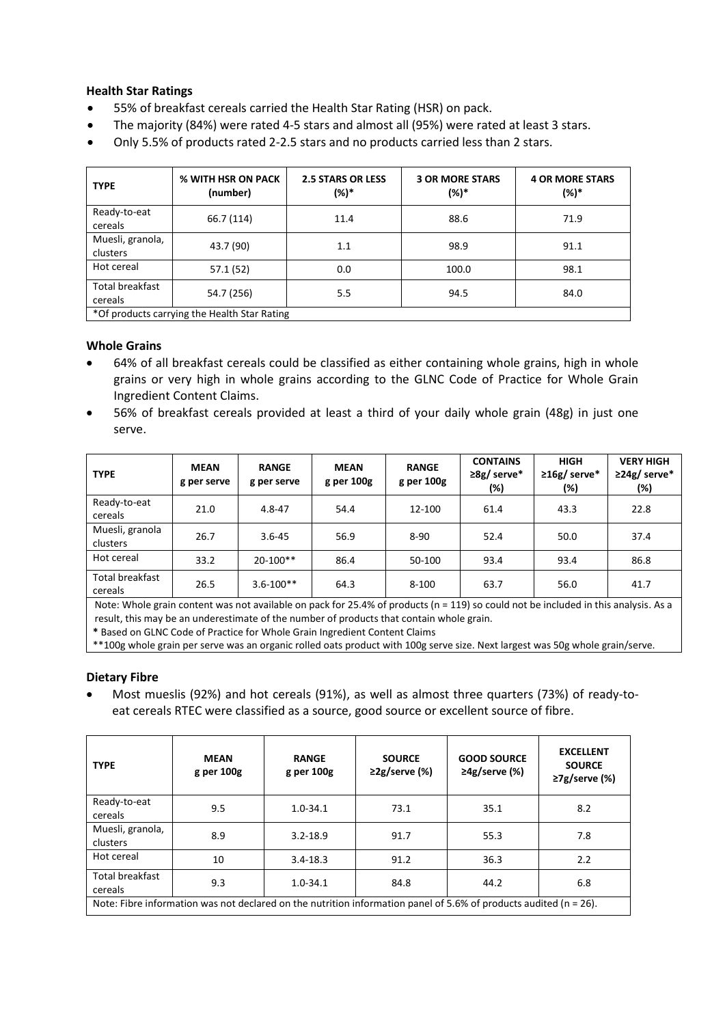# **Health Star Ratings**

- 55% of breakfast cereals carried the Health Star Rating (HSR) on pack.
- The majority (84%) were rated 4-5 stars and almost all (95%) were rated at least 3 stars.
- Only 5.5% of products rated 2-2.5 stars and no products carried less than 2 stars.

| <b>TYPE</b>                                  | % WITH HSR ON PACK<br>(number) | <b>2.5 STARS OR LESS</b><br>(%)* | <b>3 OR MORE STARS</b><br>(%)* | <b>4 OR MORE STARS</b><br>(%)* |  |
|----------------------------------------------|--------------------------------|----------------------------------|--------------------------------|--------------------------------|--|
| Ready-to-eat<br>cereals                      | 66.7 (114)                     | 11.4                             | 88.6                           | 71.9                           |  |
| Muesli, granola,<br>clusters                 | 43.7 (90)                      | 1.1                              | 98.9                           | 91.1                           |  |
| Hot cereal                                   | 57.1 (52)                      | 0.0                              | 100.0                          | 98.1                           |  |
| Total breakfast<br>cereals                   | 54.7 (256)                     | 5.5                              | 94.5                           | 84.0                           |  |
| *Of products carrying the Health Star Rating |                                |                                  |                                |                                |  |

#### **Whole Grains**

- 64% of all breakfast cereals could be classified as either containing whole grains, high in whole grains or very high in whole grains according to the GLNC Code of Practice for Whole Grain Ingredient Content Claims.
- 56% of breakfast cereals provided at least a third of your daily whole grain (48g) in just one serve.

| <b>TYPE</b>                       | <b>MEAN</b><br>g per serve | <b>RANGE</b><br>g per serve | <b>MEAN</b><br>g per 100g | <b>RANGE</b><br>g per 100g | <b>CONTAINS</b><br>$\geq 8g$ / serve*<br>(%) | <b>HIGH</b><br>$\geq 16$ g/ serve*<br>(%) | <b>VERY HIGH</b><br>$\geq$ 24g/ serve*<br>(%) |
|-----------------------------------|----------------------------|-----------------------------|---------------------------|----------------------------|----------------------------------------------|-------------------------------------------|-----------------------------------------------|
| Ready-to-eat<br>cereals           | 21.0                       | $4.8 - 47$                  | 54.4                      | 12-100                     | 61.4                                         | 43.3                                      | 22.8                                          |
| Muesli, granola<br>clusters       | 26.7                       | $3.6 - 45$                  | 56.9                      | $8 - 90$                   | 52.4                                         | 50.0                                      | 37.4                                          |
| Hot cereal                        | 33.2                       | $20-100**$                  | 86.4                      | 50-100                     | 93.4                                         | 93.4                                      | 86.8                                          |
| <b>Total breakfast</b><br>cereals | 26.5                       | $3.6 - 100**$               | 64.3                      | $8 - 100$                  | 63.7                                         | 56.0                                      | 41.7                                          |

Note: Whole grain content was not available on pack for 25.4% of products (n = 119) so could not be included in this analysis. As a result, this may be an underestimate of the number of products that contain whole grain.

**\*** Based on GLNC Code of Practice for Whole Grain Ingredient Content Claims

\*\*100g whole grain per serve was an organic rolled oats product with 100g serve size. Next largest was 50g whole grain/serve.

#### **Dietary Fibre**

 Most mueslis (92%) and hot cereals (91%), as well as almost three quarters (73%) of ready-toeat cereals RTEC were classified as a source, good source or excellent source of fibre.

| <b>TYPE</b>                                                                                                           | <b>MEAN</b><br>g per 100g | <b>RANGE</b><br>g per 100g | <b>SOURCE</b><br>$\geq$ 2g/serve (%) | <b>GOOD SOURCE</b><br>$\geq$ 4g/serve (%) | <b>EXCELLENT</b><br><b>SOURCE</b><br>$\geq$ 7g/serve (%) |
|-----------------------------------------------------------------------------------------------------------------------|---------------------------|----------------------------|--------------------------------------|-------------------------------------------|----------------------------------------------------------|
| Ready-to-eat<br>cereals                                                                                               | 9.5                       | $1.0 - 34.1$               | 73.1                                 | 35.1                                      | 8.2                                                      |
| Muesli, granola,<br>clusters                                                                                          | 8.9                       | $3.2 - 18.9$               | 91.7                                 | 55.3                                      | 7.8                                                      |
| Hot cereal                                                                                                            | 10                        | $3.4 - 18.3$               | 91.2                                 | 36.3                                      | 2.2                                                      |
| Total breakfast<br>cereals                                                                                            | 9.3                       | $1.0 - 34.1$               | 84.8                                 | 44.2                                      | 6.8                                                      |
| Note: Fibre information was not declared on the nutrition information panel of 5.6% of products audited ( $n = 26$ ). |                           |                            |                                      |                                           |                                                          |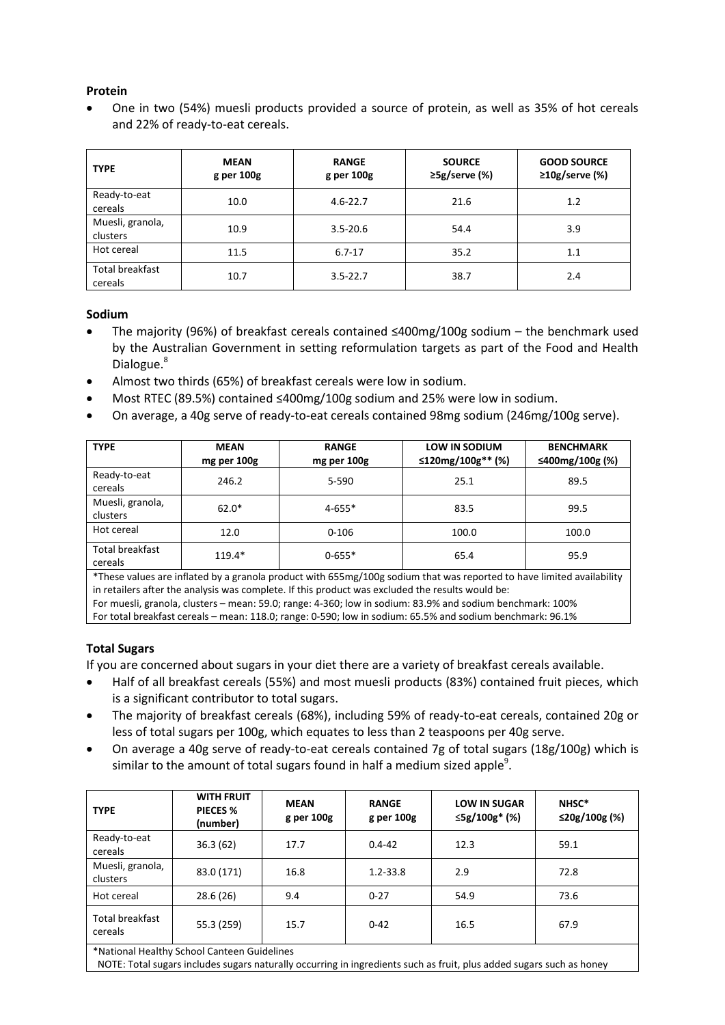# **Protein**

 One in two (54%) muesli products provided a source of protein, as well as 35% of hot cereals and 22% of ready-to-eat cereals.

| <b>TYPE</b>                  | <b>MEAN</b><br>g per 100g | <b>RANGE</b><br>g per 100g | <b>SOURCE</b><br>≥5g/serve (%) | <b>GOOD SOURCE</b><br>$\geq 10$ g/serve (%) |
|------------------------------|---------------------------|----------------------------|--------------------------------|---------------------------------------------|
| Ready-to-eat<br>cereals      | 10.0                      | $4.6 - 22.7$               | 21.6                           | 1.2                                         |
| Muesli, granola,<br>clusters | 10.9                      | $3.5 - 20.6$               | 54.4                           | 3.9                                         |
| Hot cereal                   | 11.5                      | $6.7 - 17$                 | 35.2                           | 1.1                                         |
| Total breakfast<br>cereals   | 10.7                      | $3.5 - 22.7$               | 38.7                           | 2.4                                         |

# **Sodium<sup>i</sup>**

- The majority (96%) of breakfast cereals contained ≤400mg/100g sodium the benchmark used by the Australian Government in setting reformulation targets as part of the Food and Health Dialogue.<sup>8</sup>
- Almost two thirds (65%) of breakfast cereals were low in sodium.
- Most RTEC (89.5%) contained ≤400mg/100g sodium and 25% were low in sodium.
- On average, a 40g serve of ready-to-eat cereals contained 98mg sodium (246mg/100g serve).

| <b>TYPE</b>                  | <b>MEAN</b><br>mg per 100g | <b>RANGE</b><br>mg per 100g | <b>LOW IN SODIUM</b><br>≤120mg/100g** (%) | <b>BENCHMARK</b><br>≤400mg/100g (%) |
|------------------------------|----------------------------|-----------------------------|-------------------------------------------|-------------------------------------|
| Ready-to-eat<br>cereals      | 246.2                      | 5-590                       | 25.1                                      | 89.5                                |
| Muesli, granola,<br>clusters | $62.0*$                    | $4 - 655*$                  | 83.5                                      | 99.5                                |
| Hot cereal                   | 12.0                       | $0 - 106$                   | 100.0                                     | 100.0                               |
| Total breakfast<br>cereals   | $119.4*$                   | $0 - 655*$                  | 65.4                                      | 95.9                                |

\*These values are inflated by a granola product with 655mg/100g sodium that was reported to have limited availability in retailers after the analysis was complete. If this product was excluded the results would be:

For muesli, granola, clusters – mean: 59.0; range: 4-360; low in sodium: 83.9% and sodium benchmark: 100% For total breakfast cereals – mean: 118.0; range: 0-590; low in sodium: 65.5% and sodium benchmark: 96.1%

**Total Sugars**

If you are concerned about sugars in your diet there are a variety of breakfast cereals available.

- Half of all breakfast cereals (55%) and most muesli products (83%) contained fruit pieces, which is a significant contributor to total sugars.
- The majority of breakfast cereals (68%), including 59% of ready-to-eat cereals, contained 20g or less of total sugars per 100g, which equates to less than 2 teaspoons per 40g serve.
- On average a 40g serve of ready-to-eat cereals contained 7g of total sugars (18g/100g) which is similar to the amount of total sugars found in half a medium sized apple<sup>9</sup>.

| <b>TYPE</b>                                 | <b>WITH FRUIT</b><br>PIECES %<br>(number) | <b>MEAN</b><br>g per 100g | <b>RANGE</b><br>g per 100g | <b>LOW IN SUGAR</b><br>≤5g/100g* (%) | NHSC*<br>$\leq$ 20g/100g (%) |
|---------------------------------------------|-------------------------------------------|---------------------------|----------------------------|--------------------------------------|------------------------------|
| Ready-to-eat<br>cereals                     | 36.3(62)                                  | 17.7                      | $0.4 - 42$                 | 12.3                                 | 59.1                         |
| Muesli, granola,<br>clusters                | 83.0 (171)                                | 16.8                      | $1.2 - 33.8$               | 2.9                                  | 72.8                         |
| Hot cereal                                  | 28.6(26)                                  | 9.4                       | $0 - 27$                   | 54.9                                 | 73.6                         |
| Total breakfast<br>cereals                  | 55.3 (259)                                | 15.7                      | $0 - 42$                   | 16.5                                 | 67.9                         |
| *National Healthy School Canteen Guidelines |                                           |                           |                            |                                      |                              |

\*National Healthy School Canteen Guidelines

NOTE: Total sugars includes sugars naturally occurring in ingredients such as fruit, plus added sugars such as honey